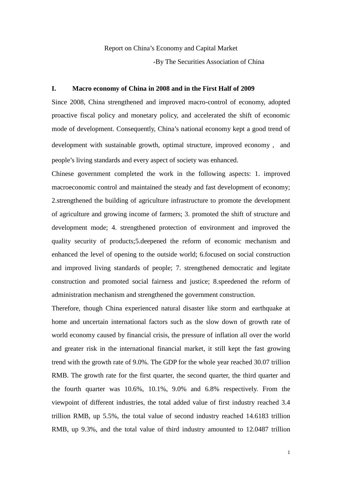Report on China's Economy and Capital Market

-By The Securities Association of China

#### **I. Macro economy of China in 2008 and in the First Half of 2009**

Since 2008, China strengthened and improved macro-control of economy, adopted proactive fiscal policy and monetary policy, and accelerated the shift of economic mode of development. Consequently, China's national economy kept a good trend of development with sustainable growth, optimal structure, improved economy, and people's living standards and every aspect of society was enhanced.

Chinese government completed the work in the following aspects: 1. improved macroeconomic control and maintained the steady and fast development of economy; 2.strengthened the building of agriculture infrastructure to promote the development of agriculture and growing income of farmers; 3. promoted the shift of structure and development mode; 4. strengthened protection of environment and improved the quality security of products;5.deepened the reform of economic mechanism and enhanced the level of opening to the outside world; 6.focused on social construction and improved living standards of people; 7. strengthened democratic and legitate construction and promoted social fairness and justice; 8.speedened the reform of administration mechanism and strengthened the government construction.

Therefore, though China experienced natural disaster like storm and earthquake at home and uncertain international factors such as the slow down of growth rate of world economy caused by financial crisis, the pressure of inflation all over the world and greater risk in the international financial market, it still kept the fast growing trend with the growth rate of 9.0%. The GDP for the whole year reached 30.07 trillion RMB. The growth rate for the first quarter, the second quarter, the third quarter and the fourth quarter was 10.6%, 10.1%, 9.0% and 6.8% respectively. From the viewpoint of different industries, the total added value of first industry reached 3.4 trillion RMB, up 5.5%, the total value of second industry reached 14.6183 trillion RMB, up 9.3%, and the total value of third industry amounted to 12.0487 trillion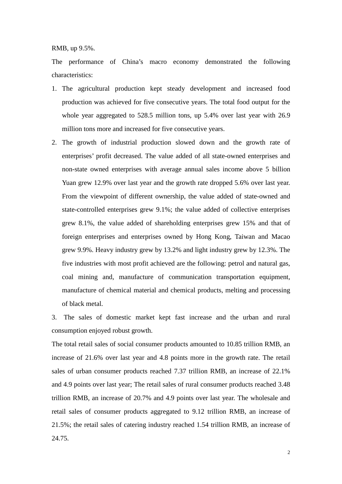RMB, up 9.5%.

The performance of China's macro economy demonstrated the following characteristics:

- 1. The agricultural production kept steady development and increased food production was achieved for five consecutive years. The total food output for the whole year aggregated to 528.5 million tons, up 5.4% over last year with 26.9 million tons more and increased for five consecutive years.
- 2. The growth of industrial production slowed down and the growth rate of enterprises' profit decreased. The value added of all state-owned enterprises and non-state owned enterprises with average annual sales income above 5 billion Yuan grew 12.9% over last year and the growth rate dropped 5.6% over last year. From the viewpoint of different ownership, the value added of state-owned and state-controlled enterprises grew 9.1%; the value added of collective enterprises grew 8.1%, the value added of shareholding enterprises grew 15% and that of foreign enterprises and enterprises owned by Hong Kong, Taiwan and Macao grew 9.9%. Heavy industry grew by 13.2% and light industry grew by 12.3%. The five industries with most profit achieved are the following: petrol and natural gas, coal mining and, manufacture of communication transportation equipment, manufacture of chemical material and chemical products, melting and processing of black metal.

3. The sales of domestic market kept fast increase and the urban and rural consumption enjoyed robust growth.

The total retail sales of social consumer products amounted to 10.85 trillion RMB, an increase of 21.6% over last year and 4.8 points more in the growth rate. The retail sales of urban consumer products reached 7.37 trillion RMB, an increase of 22.1% and 4.9 points over last year; The retail sales of rural consumer products reached 3.48 trillion RMB, an increase of 20.7% and 4.9 points over last year. The wholesale and retail sales of consumer products aggregated to 9.12 trillion RMB, an increase of 21.5%; the retail sales of catering industry reached 1.54 trillion RMB, an increase of 24.75.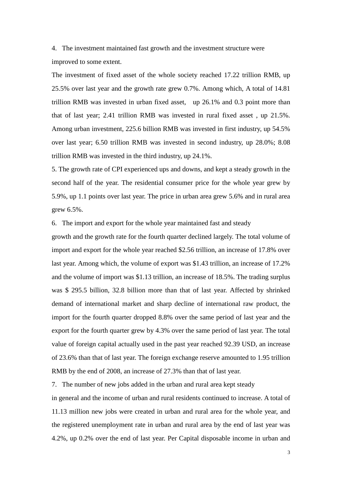4. The investment maintained fast growth and the investment structure were improved to some extent.

The investment of fixed asset of the whole society reached 17.22 trillion RMB, up 25.5% over last year and the growth rate grew 0.7%. Among which, A total of 14.81 trillion RMB was invested in urban fixed asset, up 26.1% and 0.3 point more than that of last year; 2.41 trillion RMB was invested in rural fixed asset , up 21.5%. Among urban investment, 225.6 billion RMB was invested in first industry, up 54.5% over last year; 6.50 trillion RMB was invested in second industry, up 28.0%; 8.08 trillion RMB was invested in the third industry, up 24.1%.

5. The growth rate of CPI experienced ups and downs, and kept a steady growth in the second half of the year. The residential consumer price for the whole year grew by 5.9%, up 1.1 points over last year. The price in urban area grew 5.6% and in rural area grew 6.5%.

6. The import and export for the whole year maintained fast and steady

growth and the growth rate for the fourth quarter declined largely. The total volume of import and export for the whole year reached \$2.56 trillion, an increase of 17.8% over last year. Among which, the volume of export was \$1.43 trillion, an increase of 17.2% and the volume of import was \$1.13 trillion, an increase of 18.5%. The trading surplus was \$ 295.5 billion, 32.8 billion more than that of last year. Affected by shrinked demand of international market and sharp decline of international raw product, the import for the fourth quarter dropped 8.8% over the same period of last year and the export for the fourth quarter grew by 4.3% over the same period of last year. The total value of foreign capital actually used in the past year reached 92.39 USD, an increase of 23.6% than that of last year. The foreign exchange reserve amounted to 1.95 trillion RMB by the end of 2008, an increase of 27.3% than that of last year.

7. The number of new jobs added in the urban and rural area kept steady

in general and the income of urban and rural residents continued to increase. A total of 11.13 million new jobs were created in urban and rural area for the whole year, and the registered unemployment rate in urban and rural area by the end of last year was 4.2%, up 0.2% over the end of last year. Per Capital disposable income in urban and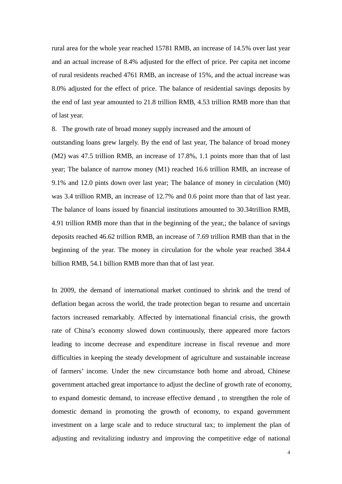rural area for the whole year reached 15781 RMB, an increase of 14.5% over last year and an actual increase of 8.4% adjusted for the effect of price. Per capita net income of rural residents reached 4761 RMB, an increase of 15%, and the actual increase was 8.0% adjusted for the effect of price. The balance of residential savings deposits by the end of last year amounted to 21.8 trillion RMB, 4.53 trillion RMB more than that of last year.

8. The growth rate of broad money supply increased and the amount of

outstanding loans grew largely. By the end of last year, The balance of broad money (M2) was 47.5 trillion RMB, an increase of 17.8%, 1.1 points more than that of last year; The balance of narrow money (M1) reached 16.6 trillion RMB, an increase of 9.1% and 12.0 pints down over last year; The balance of money in circulation (M0) was 3.4 trillion RMB, an increase of 12.7% and 0.6 point more than that of last year. The balance of loans issued by financial institutions amounted to 30.34trillion RMB, 4.91 trillion RMB more than that in the beginning of the year,; the balance of savings deposits reached 46.62 trillion RMB, an increase of 7.69 trillion RMB than that in the beginning of the year. The money in circulation for the whole year reached 384.4 billion RMB, 54.1 billion RMB more than that of last year.

In 2009, the demand of international market continued to shrink and the trend of deflation began across the world, the trade protection began to resume and uncertain factors increased remarkably. Affected by international financial crisis, the growth rate of China's economy slowed down continuously, there appeared more factors leading to income decrease and expenditure increase in fiscal revenue and more difficulties in keeping the steady development of agriculture and sustainable increase of farmers' income. Under the new circumstance both home and abroad, Chinese government attached great importance to adjust the decline of growth rate of economy, to expand domestic demand, to increase effective demand , to strengthen the role of domestic demand in promoting the growth of economy, to expand government investment on a large scale and to reduce structural tax; to implement the plan of adjusting and revitalizing industry and improving the competitive edge of national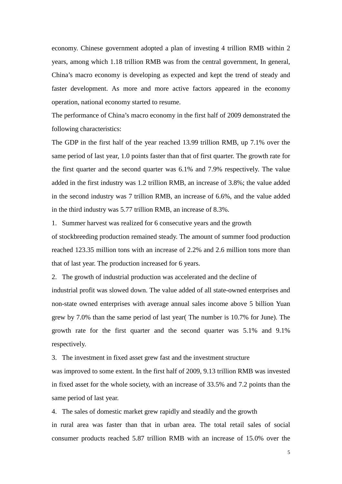economy. Chinese government adopted a plan of investing 4 trillion RMB within 2 years, among which 1.18 trillion RMB was from the central government, In general, China's macro economy is developing as expected and kept the trend of steady and faster development. As more and more active factors appeared in the economy operation, national economy started to resume.

The performance of China's macro economy in the first half of 2009 demonstrated the following characteristics:

The GDP in the first half of the year reached 13.99 trillion RMB, up 7.1% over the same period of last year, 1.0 points faster than that of first quarter. The growth rate for the first quarter and the second quarter was 6.1% and 7.9% respectively. The value added in the first industry was 1.2 trillion RMB, an increase of 3.8%; the value added in the second industry was 7 trillion RMB, an increase of 6.6%, and the value added in the third industry was 5.77 trillion RMB, an increase of 8.3%.

1. Summer harvest was realized for 6 consecutive years and the growth

of stockbreeding production remained steady. The amount of summer food production reached 123.35 million tons with an increase of 2.2% and 2.6 million tons more than that of last year. The production increased for 6 years.

2. The growth of industrial production was accelerated and the decline of

industrial profit was slowed down. The value added of all state-owned enterprises and non-state owned enterprises with average annual sales income above 5 billion Yuan grew by 7.0% than the same period of last year( The number is 10.7% for June). The growth rate for the first quarter and the second quarter was 5.1% and 9.1% respectively.

3. The investment in fixed asset grew fast and the investment structure

was improved to some extent. In the first half of 2009, 9.13 trillion RMB was invested in fixed asset for the whole society, with an increase of 33.5% and 7.2 points than the same period of last year.

4. The sales of domestic market grew rapidly and steadily and the growth

in rural area was faster than that in urban area. The total retail sales of social consumer products reached 5.87 trillion RMB with an increase of 15.0% over the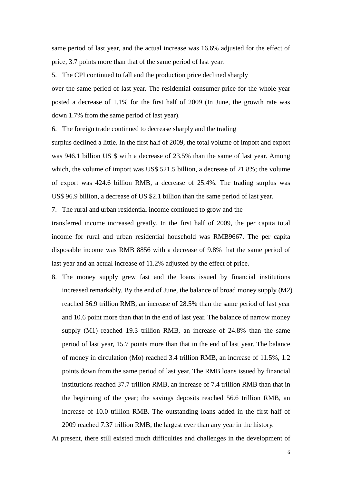same period of last year, and the actual increase was 16.6% adjusted for the effect of price, 3.7 points more than that of the same period of last year.

5. The CPI continued to fall and the production price declined sharply

over the same period of last year. The residential consumer price for the whole year posted a decrease of 1.1% for the first half of 2009 (In June, the growth rate was down 1.7% from the same period of last year).

6. The foreign trade continued to decrease sharply and the trading

surplus declined a little. In the first half of 2009, the total volume of import and export was 946.1 billion US \$ with a decrease of 23.5% than the same of last year. Among which, the volume of import was US\$ 521.5 billion, a decrease of 21.8%; the volume of export was 424.6 billion RMB, a decrease of 25.4%. The trading surplus was US\$ 96.9 billion, a decrease of US \$2.1 billion than the same period of last year.

7. The rural and urban residential income continued to grow and the

transferred income increased greatly. In the first half of 2009, the per capita total income for rural and urban residential household was RMB9667. The per capita disposable income was RMB 8856 with a decrease of 9.8% that the same period of last year and an actual increase of 11.2% adjusted by the effect of price.

8. The money supply grew fast and the loans issued by financial institutions increased remarkably. By the end of June, the balance of broad money supply (M2) reached 56.9 trillion RMB, an increase of 28.5% than the same period of last year and 10.6 point more than that in the end of last year. The balance of narrow money supply (M1) reached 19.3 trillion RMB, an increase of 24.8% than the same period of last year, 15.7 points more than that in the end of last year. The balance of money in circulation (Mo) reached 3.4 trillion RMB, an increase of 11.5%, 1.2 points down from the same period of last year. The RMB loans issued by financial institutions reached 37.7 trillion RMB, an increase of 7.4 trillion RMB than that in the beginning of the year; the savings deposits reached 56.6 trillion RMB, an increase of 10.0 trillion RMB. The outstanding loans added in the first half of 2009 reached 7.37 trillion RMB, the largest ever than any year in the history.

At present, there still existed much difficulties and challenges in the development of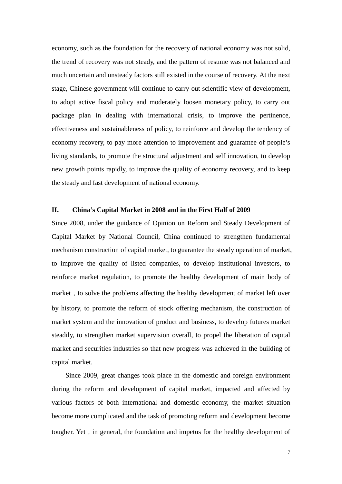economy, such as the foundation for the recovery of national economy was not solid, the trend of recovery was not steady, and the pattern of resume was not balanced and much uncertain and unsteady factors still existed in the course of recovery. At the next stage, Chinese government will continue to carry out scientific view of development, to adopt active fiscal policy and moderately loosen monetary policy, to carry out package plan in dealing with international crisis, to improve the pertinence, effectiveness and sustainableness of policy, to reinforce and develop the tendency of economy recovery, to pay more attention to improvement and guarantee of people's living standards, to promote the structural adjustment and self innovation, to develop new growth points rapidly, to improve the quality of economy recovery, and to keep the steady and fast development of national economy.

#### **II. China's Capital Market in 2008 and in the First Half of 2009**

Since 2008, under the guidance of Opinion on Reform and Steady Development of Capital Market by National Council, China continued to strengthen fundamental mechanism construction of capital market, to guarantee the steady operation of market, to improve the quality of listed companies, to develop institutional investors, to reinforce market regulation, to promote the healthy development of main body of market, to solve the problems affecting the healthy development of market left over by history, to promote the reform of stock offering mechanism, the construction of market system and the innovation of product and business, to develop futures market steadily, to strengthen market supervision overall, to propel the liberation of capital market and securities industries so that new progress was achieved in the building of capital market.

Since 2009, great changes took place in the domestic and foreign environment during the reform and development of capital market, impacted and affected by various factors of both international and domestic economy, the market situation become more complicated and the task of promoting reform and development become tougher. Yet, in general, the foundation and impetus for the healthy development of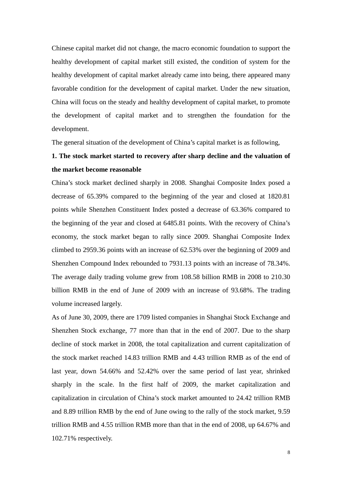Chinese capital market did not change, the macro economic foundation to support the healthy development of capital market still existed, the condition of system for the healthy development of capital market already came into being, there appeared many favorable condition for the development of capital market. Under the new situation, China will focus on the steady and healthy development of capital market, to promote the development of capital market and to strengthen the foundation for the development.

The general situation of the development of China's capital market is as following,

## **1. The stock market started to recovery after sharp decline and the valuation of the market become reasonable**

China's stock market declined sharply in 2008. Shanghai Composite Index posed a decrease of 65.39% compared to the beginning of the year and closed at 1820.81 points while Shenzhen Constituent Index posted a decrease of 63.36% compared to the beginning of the year and closed at 6485.81 points. With the recovery of China's economy, the stock market began to rally since 2009. Shanghai Composite Index climbed to 2959.36 points with an increase of 62.53% over the beginning of 2009 and Shenzhen Compound Index rebounded to 7931.13 points with an increase of 78.34%. The average daily trading volume grew from 108.58 billion RMB in 2008 to 210.30 billion RMB in the end of June of 2009 with an increase of 93.68%. The trading volume increased largely.

As of June 30, 2009, there are 1709 listed companies in Shanghai Stock Exchange and Shenzhen Stock exchange, 77 more than that in the end of 2007. Due to the sharp decline of stock market in 2008, the total capitalization and current capitalization of the stock market reached 14.83 trillion RMB and 4.43 trillion RMB as of the end of last year, down 54.66% and 52.42% over the same period of last year, shrinked sharply in the scale. In the first half of 2009, the market capitalization and capitalization in circulation of China's stock market amounted to 24.42 trillion RMB and 8.89 trillion RMB by the end of June owing to the rally of the stock market, 9.59 trillion RMB and 4.55 trillion RMB more than that in the end of 2008, up 64.67% and 102.71% respectively.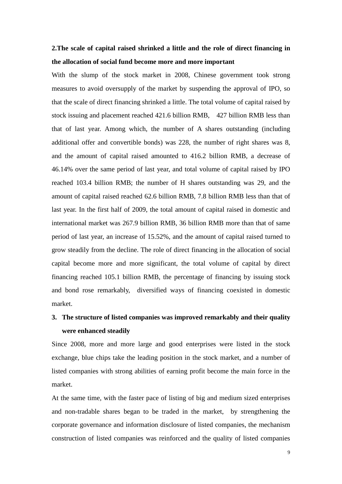## **2.The scale of capital raised shrinked a little and the role of direct financing in the allocation of social fund become more and more important**

With the slump of the stock market in 2008, Chinese government took strong measures to avoid oversupply of the market by suspending the approval of IPO, so that the scale of direct financing shrinked a little. The total volume of capital raised by stock issuing and placement reached 421.6 billion RMB, 427 billion RMB less than that of last year. Among which, the number of A shares outstanding (including additional offer and convertible bonds) was 228, the number of right shares was 8, and the amount of capital raised amounted to 416.2 billion RMB, a decrease of 46.14% over the same period of last year, and total volume of capital raised by IPO reached 103.4 billion RMB; the number of H shares outstanding was 29, and the amount of capital raised reached 62.6 billion RMB, 7.8 billion RMB less than that of last year. In the first half of 2009, the total amount of capital raised in domestic and international market was 267.9 billion RMB, 36 billion RMB more than that of same period of last year, an increase of 15.52%, and the amount of capital raised turned to grow steadily from the decline. The role of direct financing in the allocation of social capital become more and more significant, the total volume of capital by direct financing reached 105.1 billion RMB, the percentage of financing by issuing stock and bond rose remarkably, diversified ways of financing coexisted in domestic market.

# **3. The structure of listed companies was improved remarkably and their quality were enhanced steadily**

Since 2008, more and more large and good enterprises were listed in the stock exchange, blue chips take the leading position in the stock market, and a number of listed companies with strong abilities of earning profit become the main force in the market.

At the same time, with the faster pace of listing of big and medium sized enterprises and non-tradable shares began to be traded in the market, by strengthening the corporate governance and information disclosure of listed companies, the mechanism construction of listed companies was reinforced and the quality of listed companies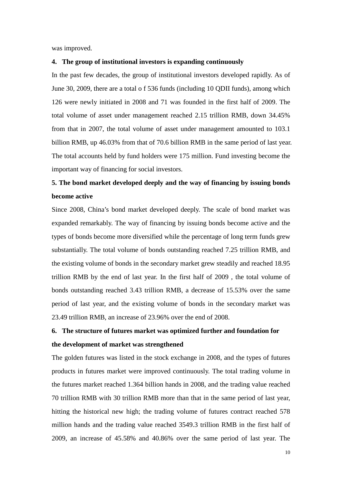was improved.

#### **4. The group of institutional investors is expanding continuously**

In the past few decades, the group of institutional investors developed rapidly. As of June 30, 2009, there are a total o f 536 funds (including 10 QDII funds), among which 126 were newly initiated in 2008 and 71 was founded in the first half of 2009. The total volume of asset under management reached 2.15 trillion RMB, down 34.45% from that in 2007, the total volume of asset under management amounted to 103.1 billion RMB, up 46.03% from that of 70.6 billion RMB in the same period of last year. The total accounts held by fund holders were 175 million. Fund investing become the important way of financing for social investors.

# **5. The bond market developed deeply and the way of financing by issuing bonds become active**

Since 2008, China's bond market developed deeply. The scale of bond market was expanded remarkably. The way of financing by issuing bonds become active and the types of bonds become more diversified while the percentage of long term funds grew substantially. The total volume of bonds outstanding reached 7.25 trillion RMB, and the existing volume of bonds in the secondary market grew steadily and reached 18.95 trillion RMB by the end of last year. In the first half of 2009 , the total volume of bonds outstanding reached 3.43 trillion RMB, a decrease of 15.53% over the same period of last year, and the existing volume of bonds in the secondary market was 23.49 trillion RMB, an increase of 23.96% over the end of 2008.

# **6. The structure of futures market was optimized further and foundation for the development of market was strengthened**

The golden futures was listed in the stock exchange in 2008, and the types of futures products in futures market were improved continuously. The total trading volume in the futures market reached 1.364 billion hands in 2008, and the trading value reached 70 trillion RMB with 30 trillion RMB more than that in the same period of last year, hitting the historical new high; the trading volume of futures contract reached 578 million hands and the trading value reached 3549.3 trillion RMB in the first half of 2009, an increase of 45.58% and 40.86% over the same period of last year. The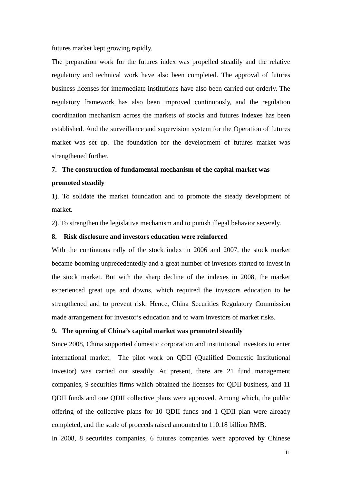futures market kept growing rapidly.

The preparation work for the futures index was propelled steadily and the relative regulatory and technical work have also been completed. The approval of futures business licenses for intermediate institutions have also been carried out orderly. The regulatory framework has also been improved continuously, and the regulation coordination mechanism across the markets of stocks and futures indexes has been established. And the surveillance and supervision system for the Operation of futures market was set up. The foundation for the development of futures market was strengthened further.

### **7. The construction of fundamental mechanism of the capital market was**

#### **promoted steadily**

1). To solidate the market foundation and to promote the steady development of market.

2). To strengthen the legislative mechanism and to punish illegal behavior severely.

### **8. Risk disclosure and investors education were reinforced**

With the continuous rally of the stock index in 2006 and 2007, the stock market became booming unprecedentedly and a great number of investors started to invest in the stock market. But with the sharp decline of the indexes in 2008, the market experienced great ups and downs, which required the investors education to be strengthened and to prevent risk. Hence, China Securities Regulatory Commission made arrangement for investor's education and to warn investors of market risks.

### **9. The opening of China's capital market was promoted steadily**

Since 2008, China supported domestic corporation and institutional investors to enter international market. The pilot work on QDII (Qualified Domestic Institutional Investor) was carried out steadily. At present, there are 21 fund management companies, 9 securities firms which obtained the licenses for QDII business, and 11 QDII funds and one QDII collective plans were approved. Among which, the public offering of the collective plans for 10 QDII funds and 1 QDII plan were already completed, and the scale of proceeds raised amounted to 110.18 billion RMB.

In 2008, 8 securities companies, 6 futures companies were approved by Chinese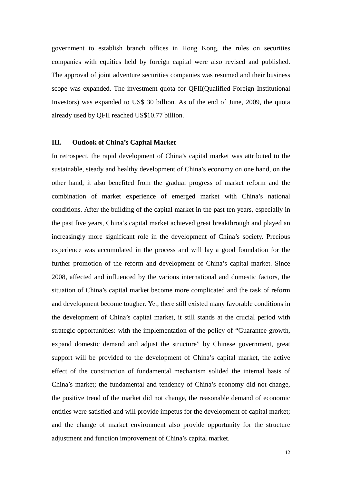government to establish branch offices in Hong Kong, the rules on securities companies with equities held by foreign capital were also revised and published. The approval of joint adventure securities companies was resumed and their business scope was expanded. The investment quota for QFII(Qualified Foreign Institutional Investors) was expanded to US\$ 30 billion. As of the end of June, 2009, the quota already used by QFII reached US\$10.77 billion.

## **III. Outlook of China's Capital Market**

In retrospect, the rapid development of China's capital market was attributed to the sustainable, steady and healthy development of China's economy on one hand, on the other hand, it also benefited from the gradual progress of market reform and the combination of market experience of emerged market with China's national conditions. After the building of the capital market in the past ten years, especially in the past five years, China's capital market achieved great breakthrough and played an increasingly more significant role in the development of China's society. Precious experience was accumulated in the process and will lay a good foundation for the further promotion of the reform and development of China's capital market. Since 2008, affected and influenced by the various international and domestic factors, the situation of China's capital market become more complicated and the task of reform and development become tougher. Yet, there still existed many favorable conditions in the development of China's capital market, it still stands at the crucial period with strategic opportunities: with the implementation of the policy of "Guarantee growth, expand domestic demand and adjust the structure" by Chinese government, great support will be provided to the development of China's capital market, the active effect of the construction of fundamental mechanism solided the internal basis of China's market; the fundamental and tendency of China's economy did not change, the positive trend of the market did not change, the reasonable demand of economic entities were satisfied and will provide impetus for the development of capital market; and the change of market environment also provide opportunity for the structure adjustment and function improvement of China's capital market.